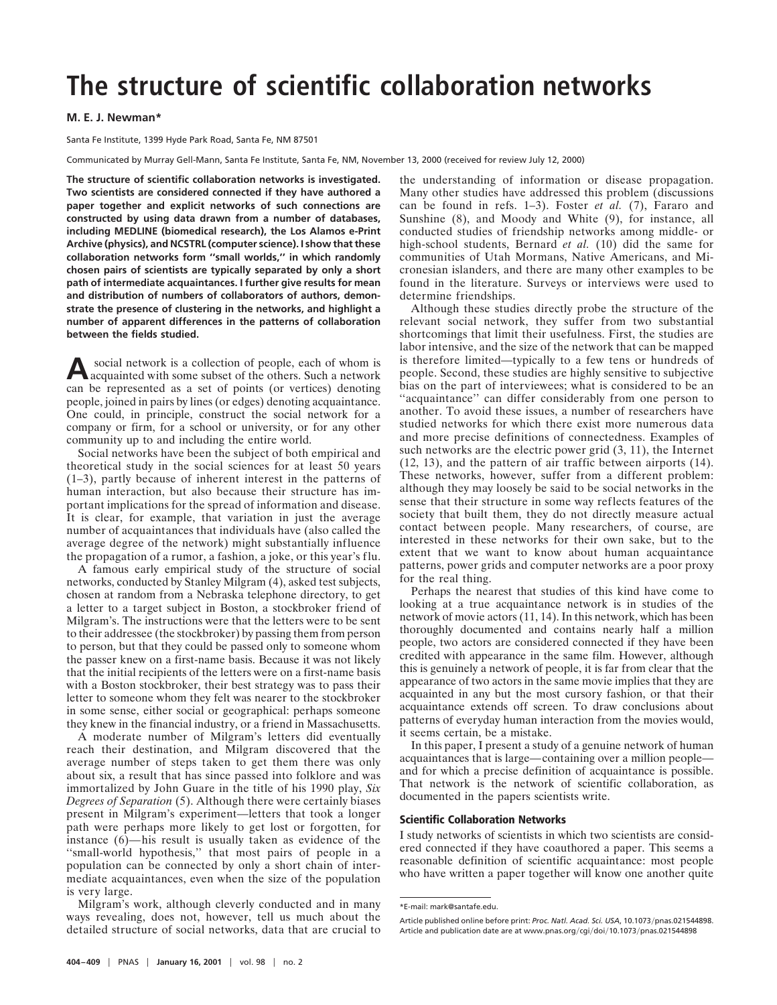# **The structure of scientific collaboration networks**

## **M. E. J. Newman\***

Santa Fe Institute, 1399 Hyde Park Road, Santa Fe, NM 87501

Communicated by Murray Gell-Mann, Santa Fe Institute, Santa Fe, NM, November 13, 2000 (received for review July 12, 2000)

**The structure of scientific collaboration networks is investigated. Two scientists are considered connected if they have authored a paper together and explicit networks of such connections are constructed by using data drawn from a number of databases, including MEDLINE (biomedical research), the Los Alamos e-Print Archive (physics), and NCSTRL (computer science). I show that these collaboration networks form ''small worlds,'' in which randomly chosen pairs of scientists are typically separated by only a short path of intermediate acquaintances. I further give results for mean and distribution of numbers of collaborators of authors, demonstrate the presence of clustering in the networks, and highlight a number of apparent differences in the patterns of collaboration between the fields studied.**

A social network is a collection of people, each of whom is acquainted with some subset of the others. Such a network can be represented as a set of points (or vertices) denoting people, joined in pairs by lines (or edges) denoting acquaintance. One could, in principle, construct the social network for a company or firm, for a school or university, or for any other community up to and including the entire world.

Social networks have been the subject of both empirical and theoretical study in the social sciences for at least 50 years (1–3), partly because of inherent interest in the patterns of human interaction, but also because their structure has important implications for the spread of information and disease. It is clear, for example, that variation in just the average number of acquaintances that individuals have (also called the average degree of the network) might substantially influence the propagation of a rumor, a fashion, a joke, or this year's flu.

A famous early empirical study of the structure of social networks, conducted by Stanley Milgram (4), asked test subjects, chosen at random from a Nebraska telephone directory, to get a letter to a target subject in Boston, a stockbroker friend of Milgram's. The instructions were that the letters were to be sent to their addressee (the stockbroker) by passing them from person to person, but that they could be passed only to someone whom the passer knew on a first-name basis. Because it was not likely that the initial recipients of the letters were on a first-name basis with a Boston stockbroker, their best strategy was to pass their letter to someone whom they felt was nearer to the stockbroker in some sense, either social or geographical: perhaps someone they knew in the financial industry, or a friend in Massachusetts.

A moderate number of Milgram's letters did eventually reach their destination, and Milgram discovered that the average number of steps taken to get them there was only about six, a result that has since passed into folklore and was immortalized by John Guare in the title of his 1990 play, *Six Degrees of Separation* (5). Although there were certainly biases present in Milgram's experiment—letters that took a longer path were perhaps more likely to get lost or forgotten, for instance (6)—his result is usually taken as evidence of the ''small-world hypothesis,'' that most pairs of people in a population can be connected by only a short chain of intermediate acquaintances, even when the size of the population is very large.

Milgram's work, although cleverly conducted and in many ways revealing, does not, however, tell us much about the detailed structure of social networks, data that are crucial to

the understanding of information or disease propagation. Many other studies have addressed this problem (discussions can be found in refs. 1–3). Foster *et al.* (7), Fararo and Sunshine (8), and Moody and White (9), for instance, all conducted studies of friendship networks among middle- or high-school students, Bernard *et al.* (10) did the same for communities of Utah Mormans, Native Americans, and Micronesian islanders, and there are many other examples to be found in the literature. Surveys or interviews were used to determine friendships.

Although these studies directly probe the structure of the relevant social network, they suffer from two substantial shortcomings that limit their usefulness. First, the studies are labor intensive, and the size of the network that can be mapped is therefore limited—typically to a few tens or hundreds of people. Second, these studies are highly sensitive to subjective bias on the part of interviewees; what is considered to be an "acquaintance" can differ considerably from one person to another. To avoid these issues, a number of researchers have studied networks for which there exist more numerous data and more precise definitions of connectedness. Examples of such networks are the electric power grid (3, 11), the Internet (12, 13), and the pattern of air traffic between airports (14). These networks, however, suffer from a different problem: although they may loosely be said to be social networks in the sense that their structure in some way reflects features of the society that built them, they do not directly measure actual contact between people. Many researchers, of course, are interested in these networks for their own sake, but to the extent that we want to know about human acquaintance patterns, power grids and computer networks are a poor proxy for the real thing.

Perhaps the nearest that studies of this kind have come to looking at a true acquaintance network is in studies of the network of movie actors (11, 14). In this network, which has been thoroughly documented and contains nearly half a million people, two actors are considered connected if they have been credited with appearance in the same film. However, although this is genuinely a network of people, it is far from clear that the appearance of two actors in the same movie implies that they are acquainted in any but the most cursory fashion, or that their acquaintance extends off screen. To draw conclusions about patterns of everyday human interaction from the movies would, it seems certain, be a mistake.

In this paper, I present a study of a genuine network of human acquaintances that is large—containing over a million people and for which a precise definition of acquaintance is possible. That network is the network of scientific collaboration, as documented in the papers scientists write.

#### **Scientific Collaboration Networks**

I study networks of scientists in which two scientists are considered connected if they have coauthored a paper. This seems a reasonable definition of scientific acquaintance: most people who have written a paper together will know one another quite

<sup>\*</sup>E-mail: mark@santafe.edu.

Article published online before print: Proc. Natl. Acad. Sci. USA, 10.1073/pnas.021544898. Article and publication date are at www.pnas.org/cgi/doi/10.1073/pnas.021544898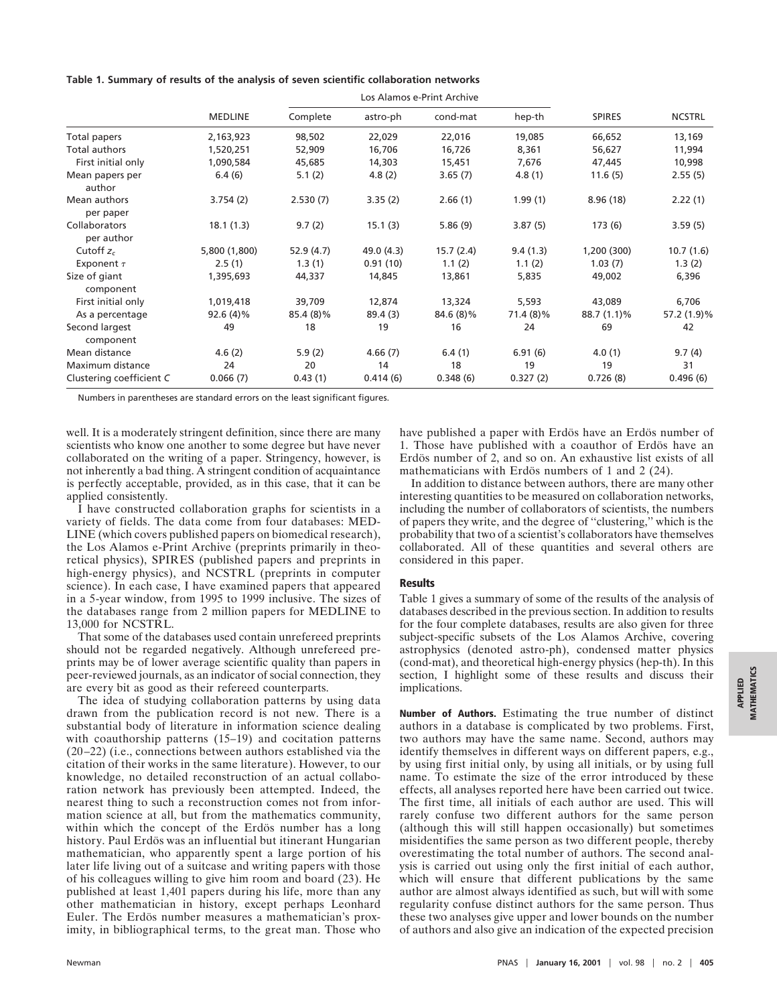|  |  |  |  |  | Table 1. Summary of results of the analysis of seven scientific collaboration networks |  |  |
|--|--|--|--|--|----------------------------------------------------------------------------------------|--|--|
|--|--|--|--|--|----------------------------------------------------------------------------------------|--|--|

|                             | <b>MEDLINE</b> |            | Los Alamos e-Print Archive |           |           |               |               |
|-----------------------------|----------------|------------|----------------------------|-----------|-----------|---------------|---------------|
|                             |                | Complete   | astro-ph                   | cond-mat  | hep-th    | <b>SPIRES</b> | <b>NCSTRL</b> |
| Total papers                | 2,163,923      | 98,502     | 22,029                     | 22,016    | 19,085    | 66,652        | 13,169        |
| Total authors               | 1,520,251      | 52,909     | 16,706                     | 16,726    | 8,361     | 56,627        | 11,994        |
| First initial only          | 1,090,584      | 45,685     | 14,303                     | 15,451    | 7,676     | 47,445        | 10,998        |
| Mean papers per<br>author   | 6.4(6)         | 5.1(2)     | 4.8(2)                     | 3.65(7)   | 4.8(1)    | 11.6(5)       | 2.55(5)       |
| Mean authors<br>per paper   | 3.754(2)       | 2.530(7)   | 3.35(2)                    | 2.66(1)   | 1.99(1)   | 8.96(18)      | 2.22(1)       |
| Collaborators<br>per author | 18.1(1.3)      | 9.7(2)     | 15.1(3)                    | 5.86(9)   | 3.87(5)   | 173(6)        | 3.59(5)       |
| Cutoff $z_c$                | 5,800 (1,800)  | 52.9 (4.7) | 49.0 (4.3)                 | 15.7(2.4) | 9.4(1.3)  | 1,200 (300)   | 10.7(1.6)     |
| Exponent $\tau$             | 2.5(1)         | 1.3(1)     | 0.91(10)                   | 1.1(2)    | 1.1(2)    | 1.03(7)       | 1.3(2)        |
| Size of giant<br>component  | 1,395,693      | 44,337     | 14,845                     | 13,861    | 5,835     | 49,002        | 6,396         |
| First initial only          | 1,019,418      | 39,709     | 12,874                     | 13,324    | 5,593     | 43,089        | 6,706         |
| As a percentage             | $92.6(4)\%$    | 85.4 (8)%  | 89.4 (3)                   | 84.6 (8)% | 71.4 (8)% | 88.7 (1.1)%   | 57.2 (1.9)%   |
| Second largest<br>component | 49             | 18         | 19                         | 16        | 24        | 69            | 42            |
| Mean distance               | 4.6(2)         | 5.9(2)     | 4.66(7)                    | 6.4(1)    | 6.91(6)   | 4.0(1)        | 9.7(4)        |
| Maximum distance            | 24             | 20         | 14                         | 18        | 19        | 19            | 31            |
| Clustering coefficient C    | 0.066(7)       | 0.43(1)    | 0.414(6)                   | 0.348(6)  | 0.327(2)  | 0.726(8)      | 0.496(6)      |

Numbers in parentheses are standard errors on the least significant figures.

well. It is a moderately stringent definition, since there are many scientists who know one another to some degree but have never collaborated on the writing of a paper. Stringency, however, is not inherently a bad thing. A stringent condition of acquaintance is perfectly acceptable, provided, as in this case, that it can be applied consistently.

I have constructed collaboration graphs for scientists in a variety of fields. The data come from four databases: MED-LINE (which covers published papers on biomedical research), the Los Alamos e-Print Archive (preprints primarily in theoretical physics), SPIRES (published papers and preprints in high-energy physics), and NCSTRL (preprints in computer science). In each case, I have examined papers that appeared in a 5-year window, from 1995 to 1999 inclusive. The sizes of the databases range from 2 million papers for MEDLINE to 13,000 for NCSTRL.

That some of the databases used contain unrefereed preprints should not be regarded negatively. Although unrefereed preprints may be of lower average scientific quality than papers in peer-reviewed journals, as an indicator of social connection, they are every bit as good as their refereed counterparts.

The idea of studying collaboration patterns by using data drawn from the publication record is not new. There is a substantial body of literature in information science dealing with coauthorship patterns (15–19) and cocitation patterns (20–22) (i.e., connections between authors established via the citation of their works in the same literature). However, to our knowledge, no detailed reconstruction of an actual collaboration network has previously been attempted. Indeed, the nearest thing to such a reconstruction comes not from information science at all, but from the mathematics community, within which the concept of the Erdös number has a long history. Paul Erdös was an influential but itinerant Hungarian mathematician, who apparently spent a large portion of his later life living out of a suitcase and writing papers with those of his colleagues willing to give him room and board (23). He published at least 1,401 papers during his life, more than any other mathematician in history, except perhaps Leonhard Euler. The Erdös number measures a mathematician's proximity, in bibliographical terms, to the great man. Those who have published a paper with Erdös have an Erdös number of 1. Those have published with a coauthor of Erdös have an Erdös number of 2, and so on. An exhaustive list exists of all mathematicians with Erdös numbers of 1 and 2 (24).

In addition to distance between authors, there are many other interesting quantities to be measured on collaboration networks, including the number of collaborators of scientists, the numbers of papers they write, and the degree of ''clustering,'' which is the probability that two of a scientist's collaborators have themselves collaborated. All of these quantities and several others are considered in this paper.

## **Results**

Table 1 gives a summary of some of the results of the analysis of databases described in the previous section. In addition to results for the four complete databases, results are also given for three subject-specific subsets of the Los Alamos Archive, covering astrophysics (denoted astro-ph), condensed matter physics (cond-mat), and theoretical high-energy physics (hep-th). In this section, I highlight some of these results and discuss their implications.

**Number of Authors.** Estimating the true number of distinct authors in a database is complicated by two problems. First, two authors may have the same name. Second, authors may identify themselves in different ways on different papers, e.g., by using first initial only, by using all initials, or by using full name. To estimate the size of the error introduced by these effects, all analyses reported here have been carried out twice. The first time, all initials of each author are used. This will rarely confuse two different authors for the same person (although this will still happen occasionally) but sometimes misidentifies the same person as two different people, thereby overestimating the total number of authors. The second analysis is carried out using only the first initial of each author, which will ensure that different publications by the same author are almost always identified as such, but will with some regularity confuse distinct authors for the same person. Thus these two analyses give upper and lower bounds on the number of authors and also give an indication of the expected precision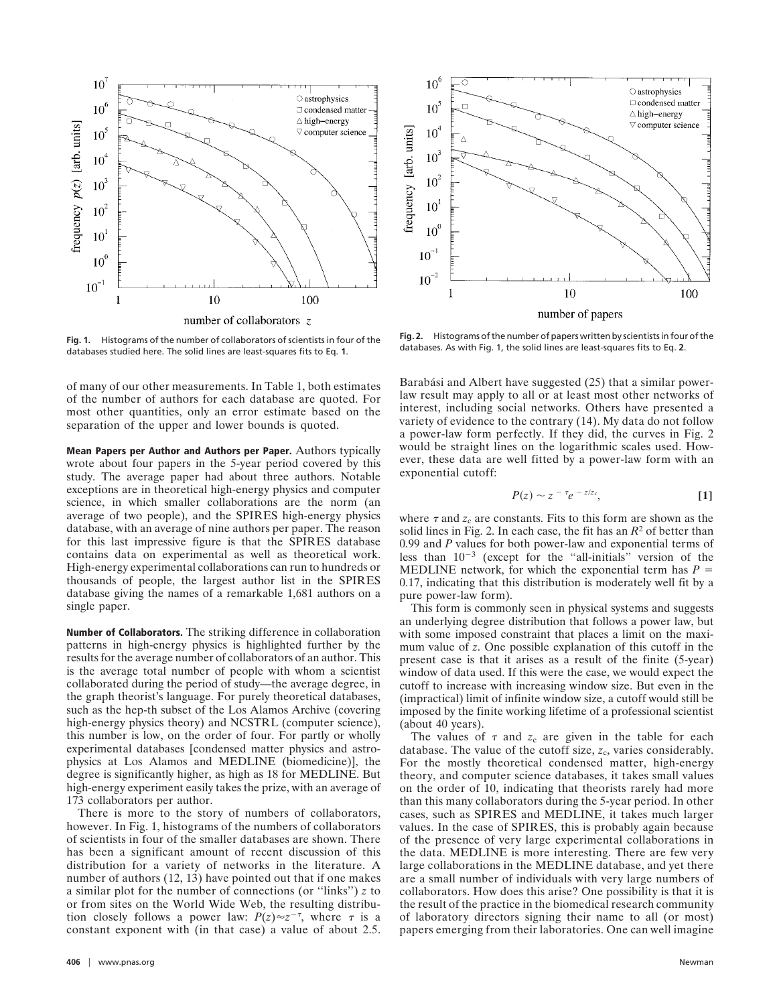

**Fig. 1.** Histograms of the number of collaborators of scientists in four of the databases studied here. The solid lines are least-squares fits to Eq. **1**.

of many of our other measurements. In Table 1, both estimates of the number of authors for each database are quoted. For most other quantities, only an error estimate based on the separation of the upper and lower bounds is quoted.

**Mean Papers per Author and Authors per Paper.** Authors typically wrote about four papers in the 5-year period covered by this study. The average paper had about three authors. Notable exceptions are in theoretical high-energy physics and computer science, in which smaller collaborations are the norm (an average of two people), and the SPIRES high-energy physics database, with an average of nine authors per paper. The reason for this last impressive figure is that the SPIRES database contains data on experimental as well as theoretical work. High-energy experimental collaborations can run to hundreds or thousands of people, the largest author list in the SPIRES database giving the names of a remarkable 1,681 authors on a single paper.

**Number of Collaborators.** The striking difference in collaboration patterns in high-energy physics is highlighted further by the results for the average number of collaborators of an author. This is the average total number of people with whom a scientist collaborated during the period of study—the average degree, in the graph theorist's language. For purely theoretical databases, such as the hep-th subset of the Los Alamos Archive (covering high-energy physics theory) and NCSTRL (computer science), this number is low, on the order of four. For partly or wholly experimental databases [condensed matter physics and astrophysics at Los Alamos and MEDLINE (biomedicine)], the degree is significantly higher, as high as 18 for MEDLINE. But high-energy experiment easily takes the prize, with an average of 173 collaborators per author.

There is more to the story of numbers of collaborators, however. In Fig. 1, histograms of the numbers of collaborators of scientists in four of the smaller databases are shown. There has been a significant amount of recent discussion of this distribution for a variety of networks in the literature. A number of authors (12, 13) have pointed out that if one makes a similar plot for the number of connections (or ''links'') *z* to or from sites on the World Wide Web, the resulting distribution closely follows a power law:  $P(z) \approx z^{-\tau}$ , where  $\tau$  is a constant exponent with (in that case) a value of about 2.5.



**Fig. 2.** Histograms of the number of papers written by scientists in four of the databases. As with Fig. 1, the solid lines are least-squares fits to Eq. **2**.

Barabási and Albert have suggested (25) that a similar powerlaw result may apply to all or at least most other networks of interest, including social networks. Others have presented a variety of evidence to the contrary (14). My data do not follow a power-law form perfectly. If they did, the curves in Fig. 2 would be straight lines on the logarithmic scales used. However, these data are well fitted by a power-law form with an exponential cutoff:

$$
P(z) \sim z^{-\tau} e^{-z/z_c}, \qquad [1]
$$

where  $\tau$  and  $z_c$  are constants. Fits to this form are shown as the solid lines in Fig. 2. In each case, the fit has an  $R^2$  of better than 0.99 and *P* values for both power-law and exponential terms of less than  $10^{-3}$  (except for the "all-initials" version of the MEDLINE network, for which the exponential term has  $P =$ 0.17, indicating that this distribution is moderately well fit by a pure power-law form).

This form is commonly seen in physical systems and suggests an underlying degree distribution that follows a power law, but with some imposed constraint that places a limit on the maximum value of *z*. One possible explanation of this cutoff in the present case is that it arises as a result of the finite (5-year) window of data used. If this were the case, we would expect the cutoff to increase with increasing window size. But even in the (impractical) limit of infinite window size, a cutoff would still be imposed by the finite working lifetime of a professional scientist (about 40 years).

The values of  $\tau$  and  $z_c$  are given in the table for each database. The value of the cutoff size, *z*<sub>c</sub>, varies considerably. For the mostly theoretical condensed matter, high-energy theory, and computer science databases, it takes small values on the order of 10, indicating that theorists rarely had more than this many collaborators during the 5-year period. In other cases, such as SPIRES and MEDLINE, it takes much larger values. In the case of SPIRES, this is probably again because of the presence of very large experimental collaborations in the data. MEDLINE is more interesting. There are few very large collaborations in the MEDLINE database, and yet there are a small number of individuals with very large numbers of collaborators. How does this arise? One possibility is that it is the result of the practice in the biomedical research community of laboratory directors signing their name to all (or most) papers emerging from their laboratories. One can well imagine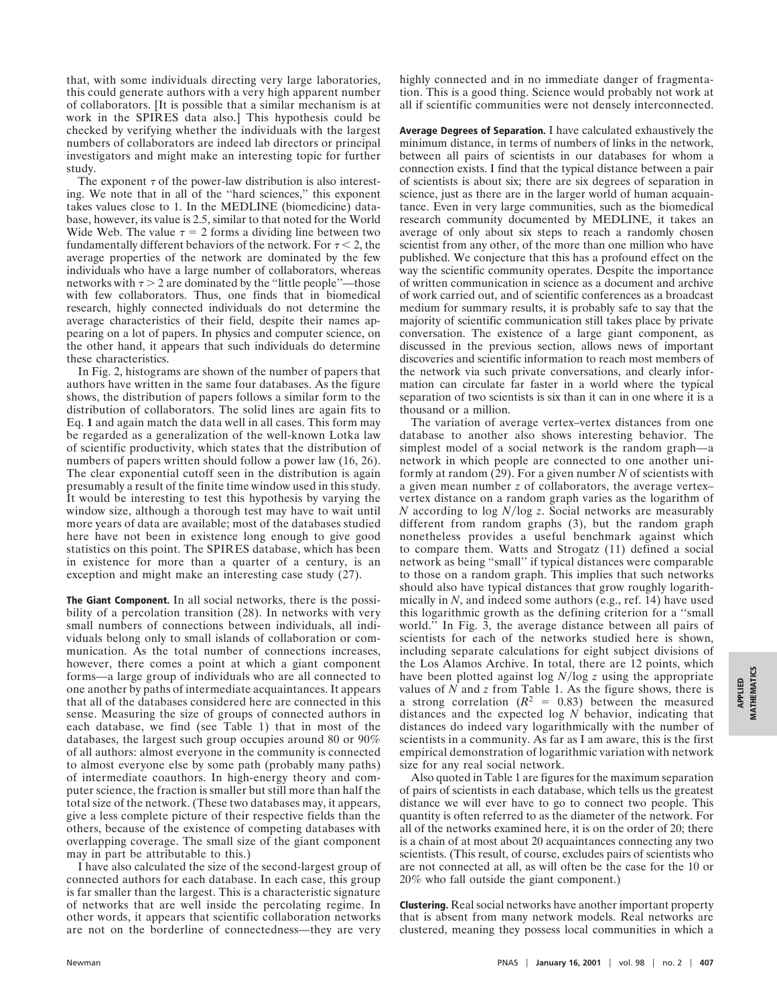that, with some individuals directing very large laboratories, this could generate authors with a very high apparent number of collaborators. [It is possible that a similar mechanism is at work in the SPIRES data also.] This hypothesis could be checked by verifying whether the individuals with the largest numbers of collaborators are indeed lab directors or principal investigators and might make an interesting topic for further study.

The exponent  $\tau$  of the power-law distribution is also interesting. We note that in all of the ''hard sciences,'' this exponent takes values close to 1. In the MEDLINE (biomedicine) database, however, its value is 2.5, similar to that noted for the World Wide Web. The value  $\tau = 2$  forms a dividing line between two fundamentally different behaviors of the network. For  $\tau < 2$ , the average properties of the network are dominated by the few individuals who have a large number of collaborators, whereas networks with  $\tau > 2$  are dominated by the "little people"—those with few collaborators. Thus, one finds that in biomedical research, highly connected individuals do not determine the average characteristics of their field, despite their names appearing on a lot of papers. In physics and computer science, on the other hand, it appears that such individuals do determine these characteristics.

In Fig. 2, histograms are shown of the number of papers that authors have written in the same four databases. As the figure shows, the distribution of papers follows a similar form to the distribution of collaborators. The solid lines are again fits to Eq. **1** and again match the data well in all cases. This form may be regarded as a generalization of the well-known Lotka law of scientific productivity, which states that the distribution of numbers of papers written should follow a power law (16, 26). The clear exponential cutoff seen in the distribution is again presumably a result of the finite time window used in this study. It would be interesting to test this hypothesis by varying the window size, although a thorough test may have to wait until more years of data are available; most of the databases studied here have not been in existence long enough to give good statistics on this point. The SPIRES database, which has been in existence for more than a quarter of a century, is an exception and might make an interesting case study (27).

**The Giant Component.** In all social networks, there is the possibility of a percolation transition (28). In networks with very small numbers of connections between individuals, all individuals belong only to small islands of collaboration or communication. As the total number of connections increases, however, there comes a point at which a giant component forms—a large group of individuals who are all connected to one another by paths of intermediate acquaintances. It appears that all of the databases considered here are connected in this sense. Measuring the size of groups of connected authors in each database, we find (see Table 1) that in most of the databases, the largest such group occupies around 80 or 90% of all authors: almost everyone in the community is connected to almost everyone else by some path (probably many paths) of intermediate coauthors. In high-energy theory and computer science, the fraction is smaller but still more than half the total size of the network. (These two databases may, it appears, give a less complete picture of their respective fields than the others, because of the existence of competing databases with overlapping coverage. The small size of the giant component may in part be attributable to this.)

I have also calculated the size of the second-largest group of connected authors for each database. In each case, this group is far smaller than the largest. This is a characteristic signature of networks that are well inside the percolating regime. In other words, it appears that scientific collaboration networks are not on the borderline of connectedness—they are very

highly connected and in no immediate danger of fragmentation. This is a good thing. Science would probably not work at all if scientific communities were not densely interconnected.

**Average Degrees of Separation.** I have calculated exhaustively the minimum distance, in terms of numbers of links in the network, between all pairs of scientists in our databases for whom a connection exists. I find that the typical distance between a pair of scientists is about six; there are six degrees of separation in science, just as there are in the larger world of human acquaintance. Even in very large communities, such as the biomedical research community documented by MEDLINE, it takes an average of only about six steps to reach a randomly chosen scientist from any other, of the more than one million who have published. We conjecture that this has a profound effect on the way the scientific community operates. Despite the importance of written communication in science as a document and archive of work carried out, and of scientific conferences as a broadcast medium for summary results, it is probably safe to say that the majority of scientific communication still takes place by private conversation. The existence of a large giant component, as discussed in the previous section, allows news of important discoveries and scientific information to reach most members of the network via such private conversations, and clearly information can circulate far faster in a world where the typical separation of two scientists is six than it can in one where it is a thousand or a million.

The variation of average vertex–vertex distances from one database to another also shows interesting behavior. The simplest model of a social network is the random graph—a network in which people are connected to one another uniformly at random (29). For a given number *N* of scientists with a given mean number *z* of collaborators, the average vertex– vertex distance on a random graph varies as the logarithm of *N* according to log *N*/log *z*. Social networks are measurably different from random graphs (3), but the random graph nonetheless provides a useful benchmark against which to compare them. Watts and Strogatz (11) defined a social network as being ''small'' if typical distances were comparable to those on a random graph. This implies that such networks should also have typical distances that grow roughly logarithmically in *N*, and indeed some authors (e.g., ref. 14) have used this logarithmic growth as the defining criterion for a ''small world." In Fig. 3, the average distance between all pairs of scientists for each of the networks studied here is shown, including separate calculations for eight subject divisions of the Los Alamos Archive. In total, there are 12 points, which have been plotted against log *N*/log *z* using the appropriate values of *N* and *z* from Table 1. As the figure shows, there is a strong correlation  $(R^2 = 0.83)$  between the measured distances and the expected log *N* behavior, indicating that distances do indeed vary logarithmically with the number of scientists in a community. As far as I am aware, this is the first empirical demonstration of logarithmic variation with network size for any real social network.

Also quoted in Table 1 are figures for the maximum separation of pairs of scientists in each database, which tells us the greatest distance we will ever have to go to connect two people. This quantity is often referred to as the diameter of the network. For all of the networks examined here, it is on the order of 20; there is a chain of at most about 20 acquaintances connecting any two scientists. (This result, of course, excludes pairs of scientists who are not connected at all, as will often be the case for the 10 or 20% who fall outside the giant component.)

**Clustering.** Real social networks have another important property that is absent from many network models. Real networks are clustered, meaning they possess local communities in which a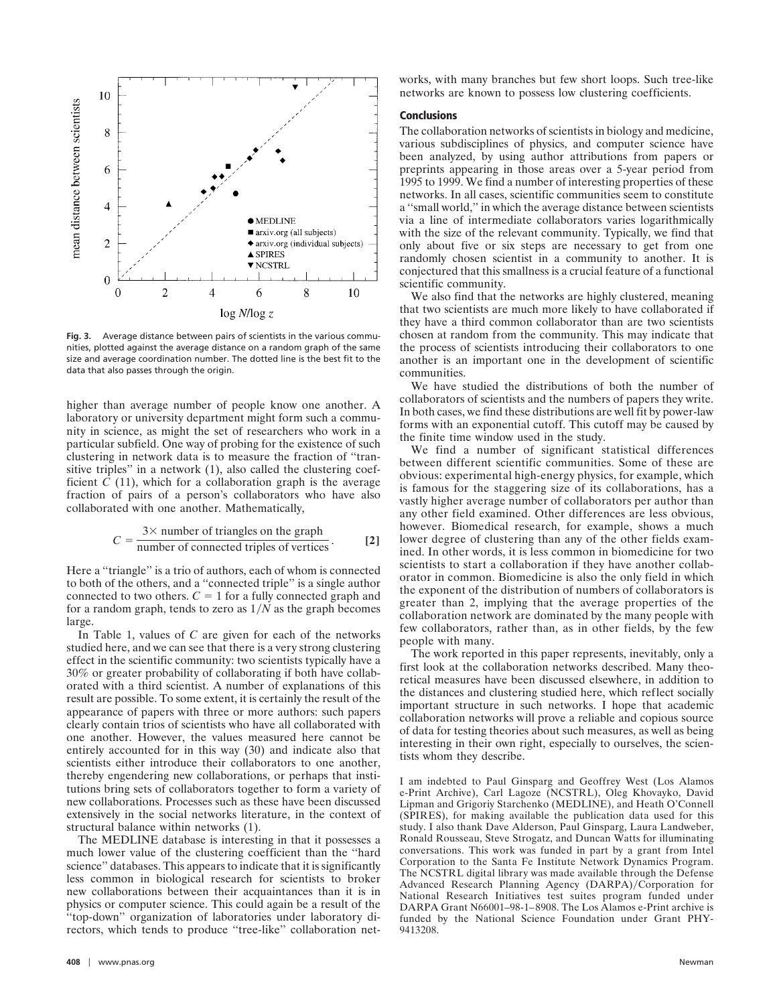

**Fig. 3.** Average distance between pairs of scientists in the various communities, plotted against the average distance on a random graph of the same size and average coordination number. The dotted line is the best fit to the data that also passes through the origin.

higher than average number of people know one another. A laboratory or university department might form such a community in science, as might the set of researchers who work in a particular subfield. One way of probing for the existence of such clustering in network data is to measure the fraction of ''transitive triples'' in a network (1), also called the clustering coefficient *C* (11), which for a collaboration graph is the average fraction of pairs of a person's collaborators who have also collaborated with one another. Mathematically,

$$
C = \frac{3 \times \text{ number of triangles on the graph}}{\text{number of connected triples of vertices}}.
$$
 [2]

Here a "triangle" is a trio of authors, each of whom is connected to both of the others, and a ''connected triple'' is a single author connected to two others.  $C = 1$  for a fully connected graph and for a random graph, tends to zero as  $1/N$  as the graph becomes large.

In Table 1, values of *C* are given for each of the networks studied here, and we can see that there is a very strong clustering effect in the scientific community: two scientists typically have a 30% or greater probability of collaborating if both have collaborated with a third scientist. A number of explanations of this result are possible. To some extent, it is certainly the result of the appearance of papers with three or more authors: such papers clearly contain trios of scientists who have all collaborated with one another. However, the values measured here cannot be entirely accounted for in this way (30) and indicate also that scientists either introduce their collaborators to one another, thereby engendering new collaborations, or perhaps that institutions bring sets of collaborators together to form a variety of new collaborations. Processes such as these have been discussed extensively in the social networks literature, in the context of structural balance within networks (1).

The MEDLINE database is interesting in that it possesses a much lower value of the clustering coefficient than the ''hard science'' databases. This appears to indicate that it is significantly less common in biological research for scientists to broker new collaborations between their acquaintances than it is in physics or computer science. This could again be a result of the ''top-down'' organization of laboratories under laboratory directors, which tends to produce ''tree-like'' collaboration networks, with many branches but few short loops. Such tree-like networks are known to possess low clustering coefficients.

## **Conclusions**

The collaboration networks of scientists in biology and medicine, various subdisciplines of physics, and computer science have been analyzed, by using author attributions from papers or preprints appearing in those areas over a 5-year period from 1995 to 1999. We find a number of interesting properties of these networks. In all cases, scientific communities seem to constitute a ''small world,'' in which the average distance between scientists via a line of intermediate collaborators varies logarithmically with the size of the relevant community. Typically, we find that only about five or six steps are necessary to get from one randomly chosen scientist in a community to another. It is conjectured that this smallness is a crucial feature of a functional scientific community.

We also find that the networks are highly clustered, meaning that two scientists are much more likely to have collaborated if they have a third common collaborator than are two scientists chosen at random from the community. This may indicate that the process of scientists introducing their collaborators to one another is an important one in the development of scientific communities.

We have studied the distributions of both the number of collaborators of scientists and the numbers of papers they write. In both cases, we find these distributions are well fit by power-law forms with an exponential cutoff. This cutoff may be caused by the finite time window used in the study.

We find a number of significant statistical differences between different scientific communities. Some of these are obvious: experimental high-energy physics, for example, which is famous for the staggering size of its collaborations, has a vastly higher average number of collaborators per author than any other field examined. Other differences are less obvious, however. Biomedical research, for example, shows a much lower degree of clustering than any of the other fields examined. In other words, it is less common in biomedicine for two scientists to start a collaboration if they have another collaborator in common. Biomedicine is also the only field in which the exponent of the distribution of numbers of collaborators is greater than 2, implying that the average properties of the collaboration network are dominated by the many people with few collaborators, rather than, as in other fields, by the few people with many.

The work reported in this paper represents, inevitably, only a first look at the collaboration networks described. Many theoretical measures have been discussed elsewhere, in addition to the distances and clustering studied here, which reflect socially important structure in such networks. I hope that academic collaboration networks will prove a reliable and copious source of data for testing theories about such measures, as well as being interesting in their own right, especially to ourselves, the scientists whom they describe.

I am indebted to Paul Ginsparg and Geoffrey West (Los Alamos e-Print Archive), Carl Lagoze (NCSTRL), Oleg Khovayko, David Lipman and Grigoriy Starchenko (MEDLINE), and Heath O'Connell (SPIRES), for making available the publication data used for this study. I also thank Dave Alderson, Paul Ginsparg, Laura Landweber, Ronald Rousseau, Steve Strogatz, and Duncan Watts for illuminating conversations. This work was funded in part by a grant from Intel Corporation to the Santa Fe Institute Network Dynamics Program. The NCSTRL digital library was made available through the Defense Advanced Research Planning Agency (DARPA)/Corporation for National Research Initiatives test suites program funded under DARPA Grant N66001–98-1–8908. The Los Alamos e-Print archive is funded by the National Science Foundation under Grant PHY-9413208.